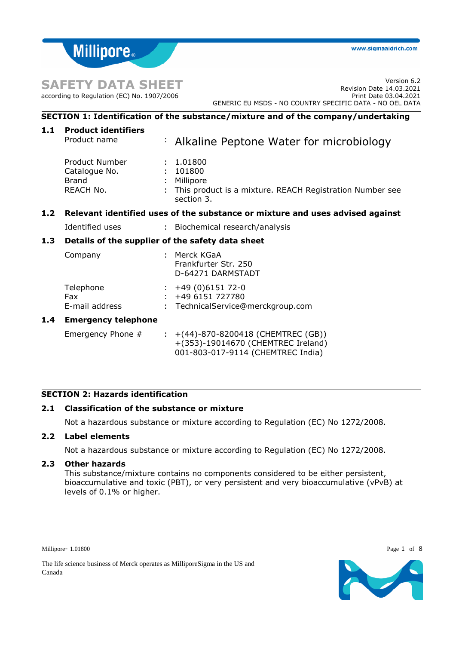# **SAFETY DATA SHEET**

according to Regulation (EC) No. 1907/2006

**Millipore** 

# **SECTION 1: Identification of the substance/mixture and of the company/undertaking**

| 1.1   | <b>Product identifiers</b><br>Product name                   |  | $\div$ Alkaline Peptone Water for microbiology                                                                       |  |  |  |
|-------|--------------------------------------------------------------|--|----------------------------------------------------------------------------------------------------------------------|--|--|--|
|       | Product Number<br>Catalogue No.<br><b>Brand</b><br>REACH No. |  | 1.01800<br>: 101800<br>: Millipore<br>This product is a mixture. REACH Registration Number see<br>section 3.         |  |  |  |
| $1.2$ |                                                              |  | Relevant identified uses of the substance or mixture and uses advised against                                        |  |  |  |
|       | Identified uses                                              |  | : Biochemical research/analysis                                                                                      |  |  |  |
| 1.3   | Details of the supplier of the safety data sheet             |  |                                                                                                                      |  |  |  |
|       | Company                                                      |  | : Merck KGaA<br>Frankfurter Str. 250<br>D-64271 DARMSTADT                                                            |  |  |  |
|       | Telephone<br>Fax<br>E-mail address                           |  | $\div$ +49 (0)6151 72-0<br>$: +496151727780$<br>TechnicalService@merckgroup.com                                      |  |  |  |
| 1.4   | <b>Emergency telephone</b>                                   |  |                                                                                                                      |  |  |  |
|       | Emergency Phone #                                            |  | : $+(44) - 870 - 8200418$ (CHEMTREC (GB))<br>+(353)-19014670 (CHEMTREC Ireland)<br>001-803-017-9114 (CHEMTREC India) |  |  |  |

# **SECTION 2: Hazards identification**

# **2.1 Classification of the substance or mixture**

Not a hazardous substance or mixture according to Regulation (EC) No 1272/2008.

# **2.2 Label elements**

Not a hazardous substance or mixture according to Regulation (EC) No 1272/2008.

# **2.3 Other hazards**

This substance/mixture contains no components considered to be either persistent, bioaccumulative and toxic (PBT), or very persistent and very bioaccumulative (vPvB) at levels of 0.1% or higher.

Millipore- 1.01800 Page 1 of 8



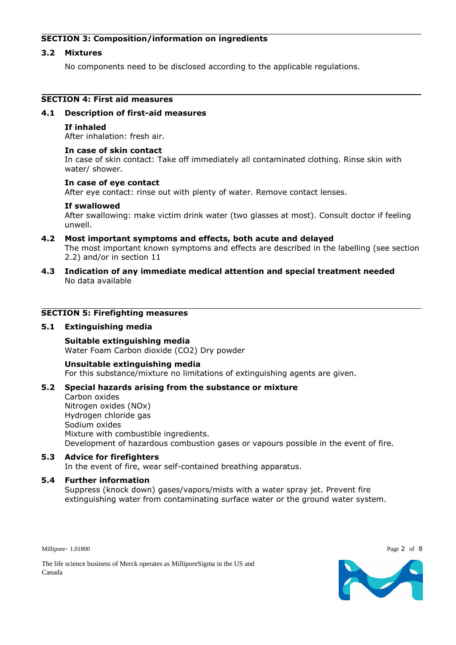# **SECTION 3: Composition/information on ingredients**

# **3.2 Mixtures**

No components need to be disclosed according to the applicable regulations.

# **SECTION 4: First aid measures**

### **4.1 Description of first-aid measures**

### **If inhaled**

After inhalation: fresh air.

### **In case of skin contact**

In case of skin contact: Take off immediately all contaminated clothing. Rinse skin with water/ shower.

### **In case of eye contact**

After eye contact: rinse out with plenty of water. Remove contact lenses.

### **If swallowed**

After swallowing: make victim drink water (two glasses at most). Consult doctor if feeling unwell.

- **4.2 Most important symptoms and effects, both acute and delayed** The most important known symptoms and effects are described in the labelling (see section 2.2) and/or in section 11
- **4.3 Indication of any immediate medical attention and special treatment needed** No data available

### **SECTION 5: Firefighting measures**

# **5.1 Extinguishing media**

**Suitable extinguishing media** Water Foam Carbon dioxide (CO2) Dry powder

**Unsuitable extinguishing media** For this substance/mixture no limitations of extinguishing agents are given.

# **5.2 Special hazards arising from the substance or mixture**

Carbon oxides Nitrogen oxides (NOx) Hydrogen chloride gas Sodium oxides Mixture with combustible ingredients. Development of hazardous combustion gases or vapours possible in the event of fire.

**5.3 Advice for firefighters** In the event of fire, wear self-contained breathing apparatus.

# **5.4 Further information**

Suppress (knock down) gases/vapors/mists with a water spray jet. Prevent fire extinguishing water from contaminating surface water or the ground water system.

Millipore- 1.01800 Page 2 of 8



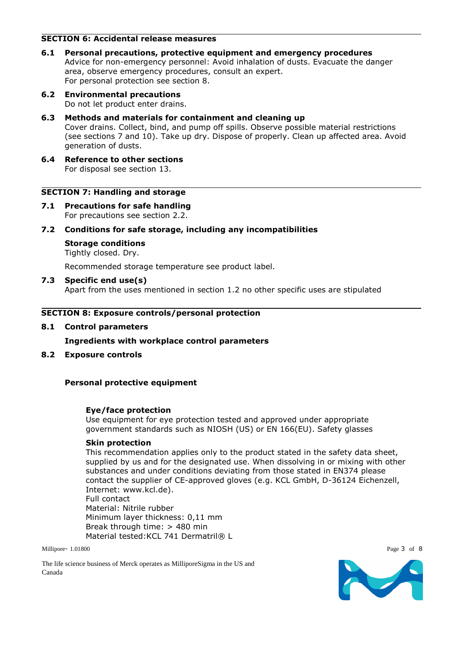# **SECTION 6: Accidental release measures**

- **6.1 Personal precautions, protective equipment and emergency procedures** Advice for non-emergency personnel: Avoid inhalation of dusts. Evacuate the danger area, observe emergency procedures, consult an expert. For personal protection see section 8.
- **6.2 Environmental precautions** Do not let product enter drains.
- **6.3 Methods and materials for containment and cleaning up** Cover drains. Collect, bind, and pump off spills. Observe possible material restrictions (see sections 7 and 10). Take up dry. Dispose of properly. Clean up affected area. Avoid generation of dusts.
- **6.4 Reference to other sections** For disposal see section 13.

# **SECTION 7: Handling and storage**

- **7.1 Precautions for safe handling** For precautions see section 2.2.
- **7.2 Conditions for safe storage, including any incompatibilities**
	- **Storage conditions**

Tightly closed. Dry.

Recommended storage temperature see product label.

**7.3 Specific end use(s)** Apart from the uses mentioned in section 1.2 no other specific uses are stipulated

# **SECTION 8: Exposure controls/personal protection**

**8.1 Control parameters**

**Ingredients with workplace control parameters**

**8.2 Exposure controls**

# **Personal protective equipment**

# **Eye/face protection**

Use equipment for eye protection tested and approved under appropriate government standards such as NIOSH (US) or EN 166(EU). Safety glasses

#### **Skin protection**

This recommendation applies only to the product stated in the safety data sheet, supplied by us and for the designated use. When dissolving in or mixing with other substances and under conditions deviating from those stated in EN374 please contact the supplier of CE-approved gloves (e.g. KCL GmbH, D-36124 Eichenzell, Internet: www.kcl.de). Full contact Material: Nitrile rubber

Minimum layer thickness: 0,11 mm Break through time: > 480 min Material tested: KCL 741 Dermatril® L

Millipore- 1.01800 Page 3 of 8

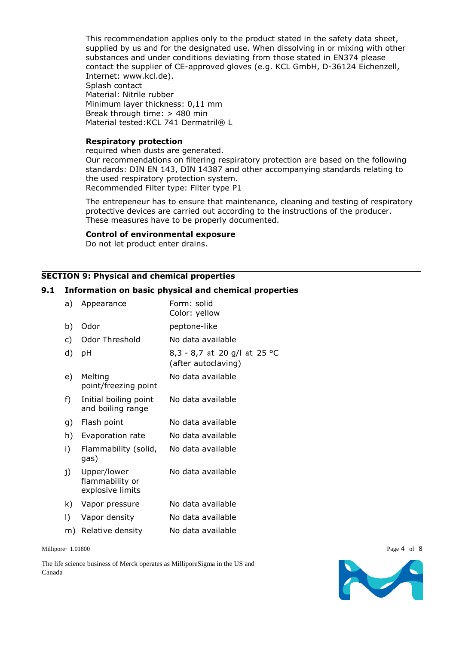This recommendation applies only to the product stated in the safety data sheet, supplied by us and for the designated use. When dissolving in or mixing with other substances and under conditions deviating from those stated in EN374 please contact the supplier of CE-approved gloves (e.g. KCL GmbH, D-36124 Eichenzell, Internet: www.kcl.de). Splash contact Material: Nitrile rubber Minimum layer thickness: 0,11 mm Break through time: > 480 min Material tested: KCL 741 Dermatril® L

### **Respiratory protection**

required when dusts are generated. Our recommendations on filtering respiratory protection are based on the following standards: DIN EN 143, DIN 14387 and other accompanying standards relating to the used respiratory protection system. Recommended Filter type: Filter type P1

The entrepeneur has to ensure that maintenance, cleaning and testing of respiratory protective devices are carried out according to the instructions of the producer. These measures have to be properly documented.

### **Control of environmental exposure**

Do not let product enter drains.

#### **SECTION 9: Physical and chemical properties**

### **9.1 Information on basic physical and chemical properties**

| a) | Appearance                                         | Form: solid<br>Color: yellow                        |  |  |
|----|----------------------------------------------------|-----------------------------------------------------|--|--|
| b) | Odor                                               | peptone-like                                        |  |  |
| c) | Odor Threshold                                     | No data available                                   |  |  |
| d) | рH                                                 | 8,3 - 8,7 at 20 g/l at 25 °C<br>(after autoclaving) |  |  |
| e) | Melting<br>point/freezing point                    | No data available                                   |  |  |
| f) | Initial boiling point<br>and boiling range         | No data available                                   |  |  |
| g) | Flash point                                        | No data available                                   |  |  |
| h) | Evaporation rate                                   | No data available                                   |  |  |
| i) | Flammability (solid,<br>gas)                       | No data available                                   |  |  |
| j) | Upper/lower<br>flammability or<br>explosive limits | No data available                                   |  |  |
| k) | Vapor pressure                                     | No data available                                   |  |  |
| I) | Vapor density                                      | No data available                                   |  |  |
| m) | Relative density                                   | No data available                                   |  |  |
|    |                                                    |                                                     |  |  |

Millipore- 1.01800 Page 4 of 8

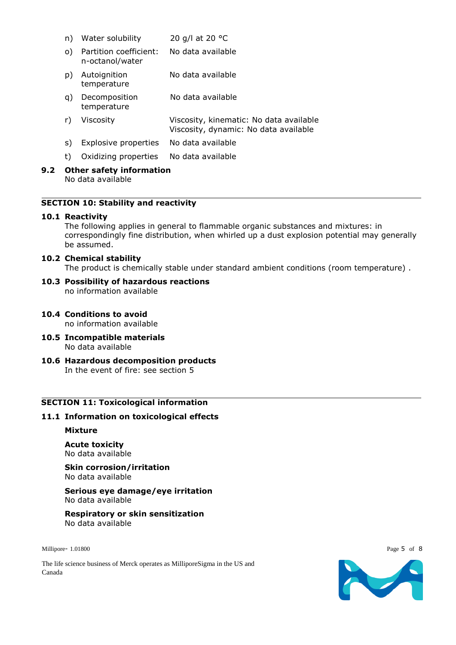- n) Water solubility 20 g/l at 20 °C
- o) Partition coefficient: n-octanol/water No data available
- p) Autoignition temperature No data available
- q) Decomposition temperature No data available
- r) Viscosity Viscosity, kinematic: No data available Viscosity, dynamic: No data available
- s) Explosive properties No data available
- t) Oxidizing properties No data available

#### **9.2 Other safety information** No data available

# **SECTION 10: Stability and reactivity**

# **10.1 Reactivity**

The following applies in general to flammable organic substances and mixtures: in correspondingly fine distribution, when whirled up a dust explosion potential may generally be assumed.

#### **10.2 Chemical stability**

The product is chemically stable under standard ambient conditions (room temperature) .

#### **10.3 Possibility of hazardous reactions** no information available

- **10.4 Conditions to avoid** no information available
- **10.5 Incompatible materials** No data available
- **10.6 Hazardous decomposition products** In the event of fire: see section 5

# **SECTION 11: Toxicological information**

# **11.1 Information on toxicological effects**

#### **Mixture**

**Acute toxicity** No data available

**Skin corrosion/irritation** No data available

**Serious eye damage/eye irritation** No data available

**Respiratory or skin sensitization** No data available

Millipore- 1.01800 Page 5 of 8

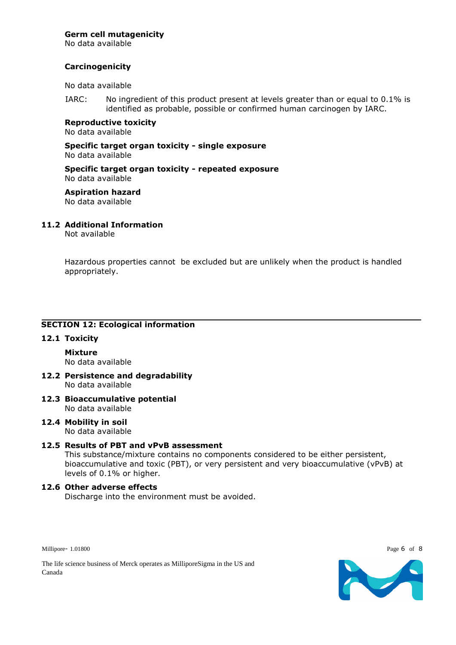# **Germ cell mutagenicity**

No data available

# **Carcinogenicity**

No data available

IARC: No ingredient of this product present at levels greater than or equal to 0.1% is identified as probable, possible or confirmed human carcinogen by IARC.

**Reproductive toxicity** No data available

**Specific target organ toxicity - single exposure** No data available

**Specific target organ toxicity - repeated exposure** No data available

**Aspiration hazard** No data available

# **11.2 Additional Information**

Not available

Hazardous properties cannot be excluded but are unlikely when the product is handled appropriately.

# **SECTION 12: Ecological information**

# **12.1 Toxicity**

**Mixture** No data available

- **12.2 Persistence and degradability** No data available
- **12.3 Bioaccumulative potential** No data available
- **12.4 Mobility in soil** No data available

# **12.5 Results of PBT and vPvB assessment**

This substance/mixture contains no components considered to be either persistent, bioaccumulative and toxic (PBT), or very persistent and very bioaccumulative (vPvB) at levels of 0.1% or higher.

# **12.6 Other adverse effects**

Discharge into the environment must be avoided.

Millipore- 1.01800 Page 6 of 8

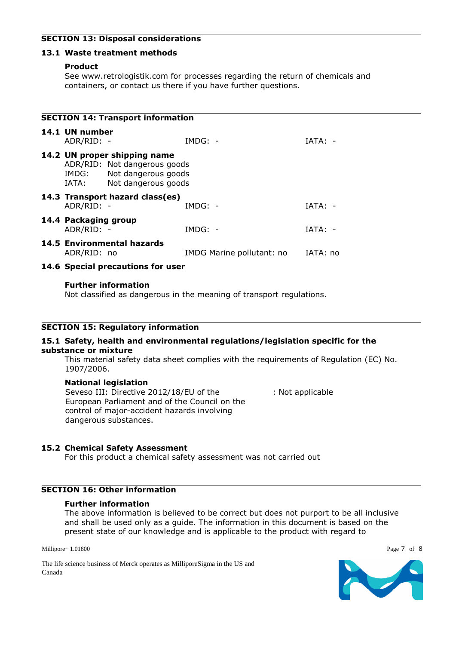# **SECTION 13: Disposal considerations**

# **13.1 Waste treatment methods**

### **Product**

See www.retrologistik.com for processes regarding the return of chemicals and containers, or contact us there if you have further questions.

| <b>SECTION 14: Transport information</b> |                                                                                                                           |                                   |                                    |           |  |  |  |  |  |
|------------------------------------------|---------------------------------------------------------------------------------------------------------------------------|-----------------------------------|------------------------------------|-----------|--|--|--|--|--|
|                                          | 14.1 UN number<br>ADR/RID: -                                                                                              |                                   | $IMDG: -$                          | IATA: -   |  |  |  |  |  |
|                                          | 14.2 UN proper shipping name<br>ADR/RID: Not dangerous goods<br>IMDG: Not dangerous goods<br>Not dangerous goods<br>IATA: |                                   |                                    |           |  |  |  |  |  |
|                                          | ADR/RID: -                                                                                                                | 14.3 Transport hazard class(es)   | $IMDG: -$                          | $IATA: -$ |  |  |  |  |  |
|                                          | 14.4 Packaging group<br>ADR/RID: -                                                                                        |                                   | $IMDG: -$                          | $IATA: -$ |  |  |  |  |  |
|                                          | ADR/RID: no                                                                                                               | 14.5 Environmental hazards        | IMDG Marine pollutant: no IATA: no |           |  |  |  |  |  |
|                                          |                                                                                                                           | 14.6 Special precautions for user |                                    |           |  |  |  |  |  |

#### **Further information**

Not classified as dangerous in the meaning of transport regulations.

# **SECTION 15: Regulatory information**

#### **15.1 Safety, health and environmental regulations/legislation specific for the substance or mixture**

This material safety data sheet complies with the requirements of Regulation (EC) No. 1907/2006.

# **National legislation**

Seveso III: Directive 2012/18/EU of the European Parliament and of the Council on the control of major-accident hazards involving dangerous substances.

: Not applicable

# **15.2 Chemical Safety Assessment**

For this product a chemical safety assessment was not carried out

# **SECTION 16: Other information**

### **Further information**

The above information is believed to be correct but does not purport to be all inclusive and shall be used only as a guide. The information in this document is based on the present state of our knowledge and is applicable to the product with regard to

Millipore- 1.01800 Page 7 of 8